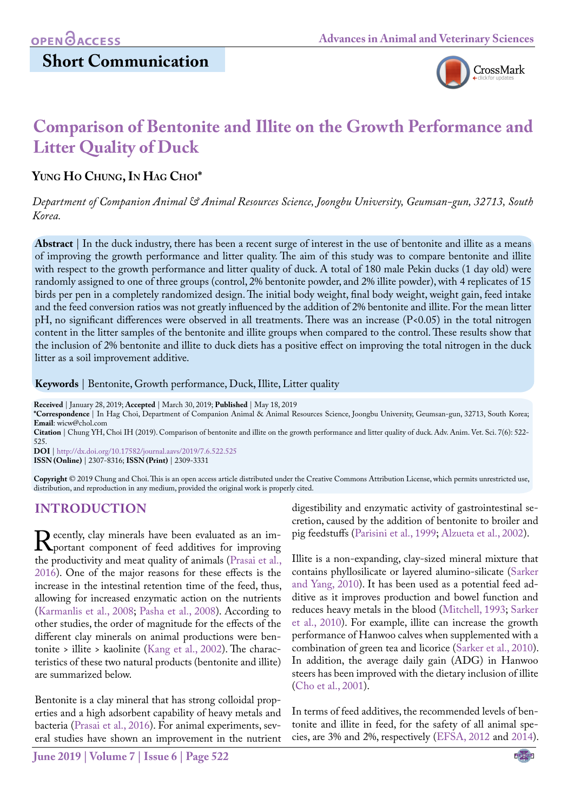# **Short Communication**



# **Comparison of Bentonite and Illite on the Growth Performance and Litter Quality of Duck**

### YUNG HO CHUNG, IN HAG CHOI<sup>\*</sup>

*Department of Companion Animal & Animal Resources Science, Joongbu University, Geumsan-gun, 32713, South Korea.*

**Abstract** | In the duck industry, there has been a recent surge of interest in the use of bentonite and illite as a means of improving the growth performance and litter quality. The aim of this study was to compare bentonite and illite with respect to the growth performance and litter quality of duck. A total of 180 male Pekin ducks (1 day old) were randomly assigned to one of three groups (control, 2% bentonite powder, and 2% illite powder), with 4 replicates of 15 birds per pen in a completely randomized design. The initial body weight, final body weight, weight gain, feed intake and the feed conversion ratios was not greatly influenced by the addition of 2% bentonite and illite. For the mean litter pH, no significant differences were observed in all treatments. There was an increase (P<0.05) in the total nitrogen content in the litter samples of the bentonite and illite groups when compared to the control. These results show that the inclusion of 2% bentonite and illite to duck diets has a positive effect on improving the total nitrogen in the duck litter as a soil improvement additive.

#### **Keywords** | Bentonite, Growth performance, Duck, Illite, Litter quality

**Received** | January 28, 2019; **Accepted** | March 30, 2019; **Published** | May 18, 2019

**\*Correspondence** | In Hag Choi, Department of Companion Animal & Animal Resources Science, Joongbu University, Geumsan-gun, 32713, South Korea; **Email**: wicw@chol.com

**Citation** | Chung YH, Choi IH (2019). Comparison of bentonite and illite on the growth performance and litter quality of duck. Adv. Anim. Vet. Sci. 7(6): 522- 525.

**DOI** | [http://dx.doi.org/10.17582/journal.aavs/2019](http://dx.doi.org/10.17582/journal.aavs/2019/7.6.522.525)/7.6.522.525 **ISSN (Online)** | 2307-8316; **ISSN (Print)** | 2309-3331

**Copyright** © 2019 Chung and Choi. This is an open access article distributed under the Creative Commons Attribution License, which permits unrestricted use, distribution, and reproduction in any medium, provided the original work is properly cited.

# **INTRODUCTION**

Recently, clay minerals have been evaluated as an im-<br>portant component of feed additives for improving<br>the productivity and meat quality of animals (Prasai et al. the productivity and meat quality of animals (Prasai et al., [2016](#page-3-0)). One of the major reasons for these effects is the increase in the intestinal retention time of the feed, thus, allowing for increased enzymatic action on the nutrients ([Karmanlis et al., 2008;](#page-3-1) [Pasha et al., 2008\)](#page-3-2). According to other studies, the order of magnitude for the effects of the different clay minerals on animal productions were bentonite > illite > kaolinite ([Kang et al., 2002](#page-3-3)). The characteristics of these two natural products (bentonite and illite) are summarized below.

Bentonite is a clay mineral that has strong colloidal properties and a high adsorbent capability of heavy metals and bacteria [\(Prasai et al., 2016](#page-3-0)). For animal experiments, several studies have shown an improvement in the nutrient

digestibility and enzymatic activity of gastrointestinal secretion, caused by the addition of bentonite to broiler and pig feedstuffs [\(Parisini et al., 1999;](#page-3-4) Alzueta et al., 2002).

Illite is a non-expanding, clay-sized mineral mixture that contains phyllosilicate or layered alumino-silicate ([Sarker](#page-3-5) [and Yang, 2010](#page-3-5)). It has been used as a potential feed additive as it improves production and bowel function and reduces heavy metals in the blood [\(Mitchell, 1993](#page-3-6); [Sarker](#page-3-5) [et al., 2010\)](#page-3-5). For example, illite can increase the growth performance of Hanwoo calves when supplemented with a combination of green tea and licorice [\(Sarker et al., 2010\)](#page-3-5). In addition, the average daily gain (ADG) in Hanwoo steers has been improved with the dietary inclusion of illite ([Cho et al., 2001](#page-2-0)).

In terms of feed additives, the recommended levels of bentonite and illite in feed, for the safety of all animal species, are 3% and 2%, respectively ([EFSA, 2012](#page-3-7) and [2014\)](#page-3-8).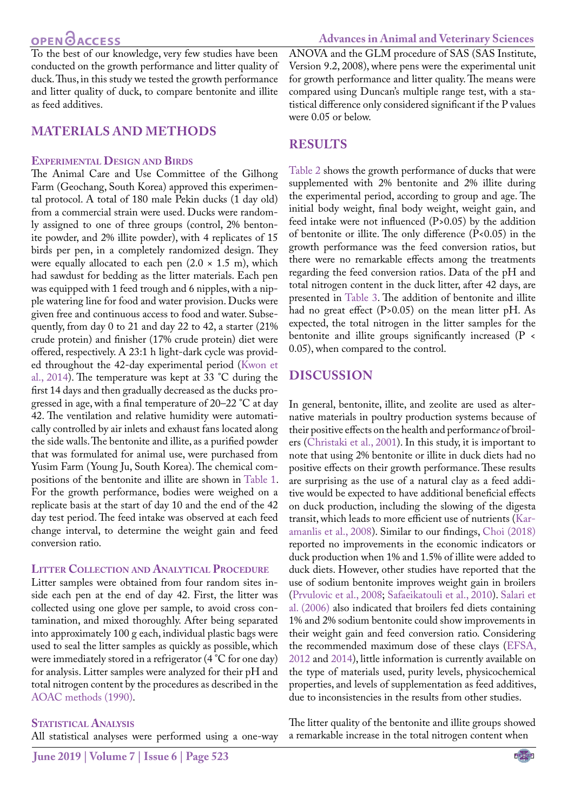**OPEN GACCESS** 

To the best of our knowledge, very few studies have been conducted on the growth performance and litter quality of duck. Thus, in this study we tested the growth performance and litter quality of duck, to compare bentonite and illite as feed additives.

#### **MATERIALS AND METHODS**

#### **Experimental Design and Birds**

The Animal Care and Use Committee of the Gilhong Farm (Geochang, South Korea) approved this experimental protocol. A total of 180 male Pekin ducks (1 day old) from a commercial strain were used. Ducks were randomly assigned to one of three groups (control, 2% bentonite powder, and 2% illite powder), with 4 replicates of 15 birds per pen, in a completely randomized design. They were equally allocated to each pen  $(2.0 \times 1.5 \text{ m})$ , which had sawdust for bedding as the litter materials. Each pen was equipped with 1 feed trough and 6 nipples, with a nipple watering line for food and water provision. Ducks were given free and continuous access to food and water. Subsequently, from day 0 to 21 and day 22 to 42, a starter (21% crude protein) and finisher (17% crude protein) diet were offered, respectively. A 23:1 h light-dark cycle was provided throughout the 42-day experimental period [\(Kwon et](#page-3-9) [al., 2014](#page-3-9)). The temperature was kept at 33 °C during the first 14 days and then gradually decreased as the ducks progressed in age, with a final temperature of 20–22 °C at day 42. The ventilation and relative humidity were automatically controlled by air inlets and exhaust fans located along the side walls. The bentonite and illite, as a purified powder that was formulated for animal use, were purchased from Yusim Farm (Young Ju, South Korea). The chemical compositions of the bentonite and illite are shown in [Table 1](#page-2-1). For the growth performance, bodies were weighed on a replicate basis at the start of day 10 and the end of the 42 day test period. The feed intake was observed at each feed change interval, to determine the weight gain and feed conversion ratio.

#### **Litter Collection and Analytical Procedure**

Litter samples were obtained from four random sites inside each pen at the end of day 42. First, the litter was collected using one glove per sample, to avoid cross contamination, and mixed thoroughly. After being separated into approximately 100 g each, individual plastic bags were used to seal the litter samples as quickly as possible, which were immediately stored in a refrigerator (4 °C for one day) for analysis. Litter samples were analyzed for their pH and total nitrogen content by the procedures as described in the [AOAC methods \(1990\).](#page-2-2)

#### **STATISTICAL ANALYSIS**

All statistical analyses were performed using a one-way

ANOVA and the GLM procedure of SAS (SAS Institute, Version 9.2, 2008), where pens were the experimental unit for growth performance and litter quality. The means were compared using Duncan's multiple range test, with a statistical difference only considered significant if the P values were 0.05 or below.

#### **RESULTS**

[Table 2 s](#page-2-3)hows the growth performance of ducks that were supplemented with 2% bentonite and 2% illite during the experimental period, according to group and age. The initial body weight, final body weight, weight gain, and feed intake were not influenced (P>0.05) by the addition of bentonite or illite. The only difference (P<0.05) in the growth performance was the feed conversion ratios, but there were no remarkable effects among the treatments regarding the feed conversion ratios. Data of the pH and total nitrogen content in the duck litter, after 42 days, are presented in [Table 3.](#page-2-4) The addition of bentonite and illite had no great effect (P>0.05) on the mean litter pH. As expected, the total nitrogen in the litter samples for the bentonite and illite groups significantly increased (P < 0.05), when compared to the control.

#### **DISCUSSION**

In general, bentonite, illite, and zeolite are used as alternative materials in poultry production systems because of their positive effects on the health and performanc*e* of broilers ([Christaki et al., 2001\)](#page-3-10). In this study, it is important to note that using 2% bentonite or illite in duck diets had no positive effects on their growth performance. These results are surprising as the use of a natural clay as a feed additive would be expected to have additional beneficial effects on duck production, including the slowing of the digesta transit, which leads to more efficient use of nutrients ([Kar](#page-3-1)[amanlis et al., 2008\)](#page-3-1). Similar to our findings, [Choi \(2018\)](#page-2-5) reported no improvements in the economic indicators or duck production when 1% and 1.5% of illite were added to duck diets. However, other studies have reported that the use of sodium bentonite improves weight gain in broilers [\(Prvulovic et al., 2008;](#page-3-11) [Safaeikatouli et al., 2010\)](#page-3-12). [Salari et](#page-3-13)  [al. \(2006\)](#page-3-13) also indicated that broilers fed diets containing 1% and 2% sodium bentonite could show improvements in their weight gain and feed conversion ratio. Considering the recommended maximum dose of these clays ([EFSA,](#page-3-7)  [2012](#page-3-7) and [2014\)](#page-3-8), little information is currently available on the type of materials used, purity levels, physicochemical properties, and levels of supplementation as feed additives, due to inconsistencies in the results from other studies.

The litter quality of the bentonite and illite groups showed a remarkable increase in the total nitrogen content when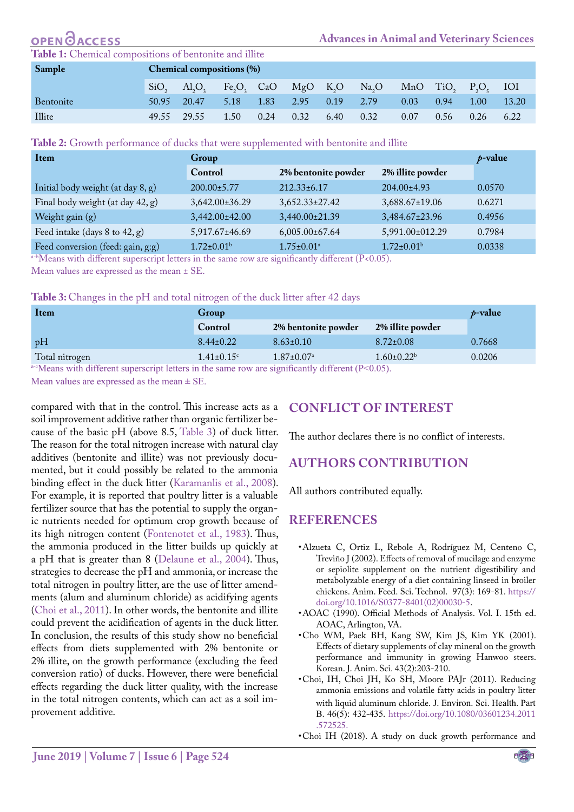#### <span id="page-2-1"></span>OPEN **Advances in Animal and Veterinary Sciences Table 1:** Chemical compositions of bentonite and illite **Sample Chemical compositions (%)**  $SiO_2$   $Al_2O_3$  $Fe_2O_3$ CaO MgO K<sub>2</sub>O  $Na<sub>2</sub>O$ <br>2.79 MnO TiO<sub>2</sub>  $P_2O_5$  $IOI$ Bentonite 50.95 20.47 5.18 1.83 2.95 0.19 2.79 0.03 0.94 1.00 13.20

Illite 49.55 29.55 1.50 0.24 0.32 6.40 0.32 0.07 0.56 0.26 6.22

<span id="page-2-3"></span>

| Table 2: Growth performance of ducks that were supplemented with bentonite and illite |
|---------------------------------------------------------------------------------------|
|---------------------------------------------------------------------------------------|

| Item                              | Group                   |                              |                         | $p$ -value |
|-----------------------------------|-------------------------|------------------------------|-------------------------|------------|
|                                   | Control                 | 2% bentonite powder          | 2% illite powder        |            |
| Initial body weight (at day 8, g) | 200.00±5.77             | $212.33 \pm 6.17$            | $204.00 \pm 4.93$       | 0.0570     |
| Final body weight (at day 42, g)  | $3,642.00 \pm 36.29$    | $3,652.33 \pm 27.42$         | 3,688.67±19.06          | 0.6271     |
| Weight gain (g)                   | 3,442.00±42.00          | 3,440.00±21.39               | 3,484.67±23.96          | 0.4956     |
| Feed intake (days 8 to 42, g)     | 5,917.67±46.69          | $6,005.00 \pm 67.64$         | 5,991.00±012.29         | 0.7984     |
| Feed conversion (feed: gain, g:g) | $1.72 \pm 0.01^{\rm b}$ | $1.75 \pm 0.01$ <sup>a</sup> | $1.72 \pm 0.01^{\rm b}$ | 0.0338     |

a-bMeans with different superscript letters in the same row are significantly different (P<0.05).

Mean values are expressed as the mean ± SE.

#### <span id="page-2-4"></span>**Table 3:** Changes in the pH and total nitrogen of the duck litter after 42 days

| Item           | Group                        |                              |                   | $p$ -value |
|----------------|------------------------------|------------------------------|-------------------|------------|
|                | Control                      | 2% bentonite powder          | 2% illite powder  |            |
| pH             | $8.44 \pm 0.22$              | $8.63 \pm 0.10$              | $8.72 \pm 0.08$   | 0.7668     |
| Total nitrogen | $1.41 \pm 0.15$ <sup>c</sup> | $1.87 \pm 0.07$ <sup>a</sup> | $1.60 \pm 0.22^b$ | 0.0206     |

a-cMeans with different superscript letters in the same row are significantly different ( $P<0.05$ ). Mean values are expressed as the mean  $\pm$  SE.

compared with that in the control. This increase acts as a soil improvement additive rather than [organic](javascript:endicAutoLink() [fertilizer](javascript:endicAutoLink() because of the basic pH (above 8.5[, Table 3](#page-2-4)) of duck litter. The reason for the total nitrogen increase with natural clay additives (bentonite and illite) was not previously documented, but it could possibly be related to the ammonia binding effect in the duck litter ([Karamanlis et al., 2008\)](#page-3-1). For example, it is reported that poultry litter is a valuable fertilizer source that has the potential to supply the organic nutrients needed for optimum crop growth because of its high nitrogen content ([Fontenotet et al., 1983\)](#page-3-14). Thus, the ammonia produced in the litter builds up quickly at a pH that is greater than 8 ([Delaune et al., 2004\)](#page-3-15). Thus, strategies to decrease the pH and ammonia, or increase the total nitrogen in poultry litter, are the use of litter amendments (alum and aluminum chloride) as acidifying agents ([Choi et al., 2011](#page-2-6)). In other words, the bentonite and illite could prevent the acidification of agents in the duck litter. In conclusion, the results of this study show no beneficial effects from diets supplemented with 2% bentonite or 2% illite, on the growth performance (excluding the feed conversion ratio) of ducks. However, there were beneficial effects regarding the duck litter quality, with the increase in the total nitrogen contents, which can act as a soil improvement additive.

# **Conflict of interest**

The author declares there is no conflict of interests.

# **Authors Contribution**

All authors contributed equally.

#### **REFERENCES**

- • Alzueta C, Ortiz L, Rebole A, Rodríguez M, Centeno C, Treviño J (2002). Effects of removal of mucilage and enzyme or sepiolite supplement on the nutrient digestibility and metabolyzable energy of a diet containing linseed in broiler chickens. Anim. Feed. Sci. Technol. 97(3): 169-81. [https://](https://doi.org/10.1016/S0377-8401(02)00030-5) [doi.org/10.1016/S0377-8401\(02\)00030-5.](https://doi.org/10.1016/S0377-8401(02)00030-5)
- <span id="page-2-2"></span>• AOAC (1990). Official Methods of Analysis. Vol. I. 15th ed. AOAC, Arlington, VA.
- <span id="page-2-0"></span>• Cho WM, Paek BH, Kang SW, Kim JS, Kim YK (2001). Effects of dietary supplements of clay mineral on the growth performance and immunity in growing Hanwoo steers. Korean. J. Anim. Sci. 43(2):203-210.
- <span id="page-2-6"></span>• Choi, IH, Choi JH, Ko SH, Moore PAJr (2011). Reducing ammonia emissions and volatile fatty acids in poultry litter with liquid aluminum chloride. J. Environ. Sci. Health. Part B. 46(5): 432-435. [https://doi.org/10.1080/03601234.2011](https://doi.org/10.1080/03601234.2011.572525. ) [.572525.](https://doi.org/10.1080/03601234.2011.572525. )
- <span id="page-2-5"></span>• Choi IH (2018). A study on duck growth performance and